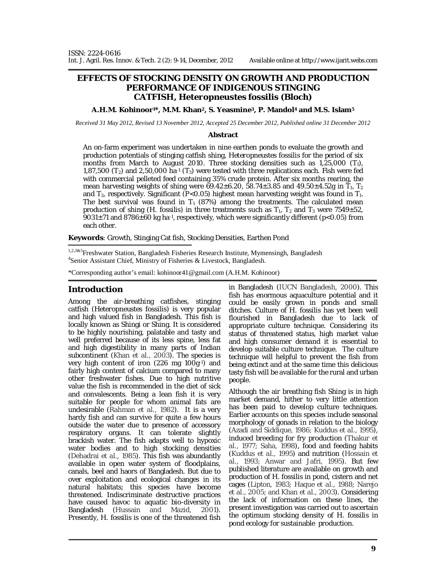# **EFFECTS OF STOCKING DENSITY ON GROWTH AND PRODUCTION PERFORMANCE OF INDIGENOUS STINGING CATFISH,** *Heteropneustes fossilis* **(Bloch)**

**A.H.M. Kohinoor1\*, M.M. Khan2, S. Yeasmine3, P. Mandol4 and M.S. Islam<sup>5</sup>**

*Received 31 May 2012, Revised 13 November 2012, Accepted 25 December 2012, Published online 31 December 2012* 

#### **Abstract**

An on-farm experiment was undertaken in nine earthen ponds to evaluate the growth and production potentials of stinging catfish shing, *Heteropneustes fossilis* for the period of six months from March to August 2010. Three stocking densities such as  $1,25,000$  (T<sub>1</sub>), 1,87,500 (T<sub>2</sub>) and 2,50,000 ha $\cdot$ 1 (T<sub>3</sub>) were tested with three replications each. Fish were fed with commercial pelleted feed containing 35% crude protein. After six months rearing, the mean harvesting weights of shing were  $69.42 \pm 6.20$ , 58.74 $\pm$ 3.85 and 49.50 $\pm$ 4.52g in  $\overline{T}_1$ ,  $\overline{T}_2$ and  $T_3$ , respectively. Significant (P<0.05) highest mean harvesting weight was found in  $T_1$ . The best survival was found in  $T_1$  (87%) among the treatments. The calculated mean production of shing  $(H, f \text{cosilis})$  in three treatments such as  $T_1$ ,  $T_2$  and  $T_3$  were 7549 $\pm$ 52, 9031±71 and 8786±60 kg ha<sup>-1</sup>, respectively, which were significantly different (p<0.05) from each other.

**Keywords**: Growth, Stinging Cat fish, Stocking Densities, Earthen Pond

1,2,3&5Freshwater Station, Bangladesh Fisheries Research Institute, Mymensingh, Bangladesh 4 Senior Assistant Chief, Ministry of Fisheries & Livestock, Bangladesh.

\*Corresponding author's email: kohinoor41@gmail.com (A.H.M. Kohinoor)

### **Introduction**

Among the air-breathing catfishes, stinging catfish (*Heteropneustes fossilis*) is very popular and high valued fish in Bangladesh. This fish is locally known as Shingi or Shing. It is considered to be highly nourishing, palatable and tasty and well preferred because of its less spine, less fat and high digestibility in many parts of Indian subcontinent (Khan *et al.,* 2003). The species is very high content of iron (226 mg 100g<sup>-1</sup>) and fairly high content of calcium compared to many other freshwater fishes. Due to high nutritive value the fish is recommended in the diet of sick and convalescents. Being a lean fish it is very suitable for people for whom animal fats are undesirable (Rahman *et al.,* 1982). It is a very hardy fish and can survive for quite a few hours outside the water due to presence of accessory respiratory organs. It can tolerate slightly brackish water. The fish adapts well to hypoxic water bodies and to high stocking densities (Dehadrai *et al.,* 1985). This fish was abundantly available in open water system of floodplains, canals, beel and haors of Bangladesh. But due to over exploitation and ecological changes in its natural habitats; this species have become threatened. Indiscriminate destructive practices have caused havoc to aquatic bio-diversity in Bangladesh (Hussain and Mazid, 2001). Presently, *H. fossilis* is one of the threatened fish

in Bangladesh (IUCN Bangladesh, 2000). This fish has enormous aquaculture potential and it could be easily grown in ponds and small ditches. Culture of *H. fossilis* has yet been well flourished in Bangladesh due to lack of appropriate culture technique. Considering its status of threatened status, high market value and high consumer demand it is essential to develop suitable culture technique. The culture technique will helpful to prevent the fish from being extinct and at the same time this delicious tasty fish will be available for the rural and urban people.

Although the air breathing fish Shing is in high market demand, hither to very little attention has been paid to develop culture techniques. Earlier accounts on this species include seasonal morphology of gonads in relation to the biology (Azadi and Siddique, 1986; Kuddus *et al*., 1995), induced breeding for fry production (Thakur *et al*., 1977; Saha, 1998), food and feeding habits (Kuddus *et al*., 1995) and nutrition (Hossain *et al*., 1993; Anwar and Jafri, 1995). But few published literature are available on growth and production of *H. fossilis* in pond, cistern and net cages (Lipton, 1983; Haque *et al*., 1988; Narejo *et al*., 2005; and Khan *et al*., 2003). Considering the lack of information on these lines, the present investigation was carried out to ascertain the optimum stocking density of *H. fossilis* in pond ecology for sustainable production.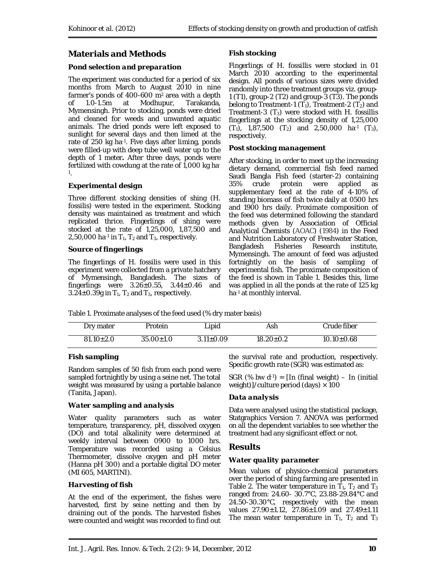# **Materials and Methods**

#### *Pond selection and preparation*

The experiment was conducted for a period of six months from March to August 2010 in nine farmer's ponds of 400-600 m2 area with a depth of 1.0-1.5m at Modhupur, Tarakanda, Mymensingh. Prior to stocking, ponds were dried and cleaned for weeds and unwanted aquatic animals. The dried ponds were left exposed to sunlight for several days and then limed at the rate of 250 kg ha-1 . Five days after liming, ponds were filled-up with deep tube well water up to the depth of 1 meter*.* After three days, ponds were fertilized with cowdung at the rate of 1,000 kg ha-1 .

#### *Experimental design*

Three different stocking densities of shing (*H. fossilis*) were tested in the experiment. Stocking density was maintained as treatment and which replicated thrice. Fingerlings of shing were stocked at the rate of 1,25,000, 1,87,500 and 2,50,000 ha<sup>-1</sup> in  $T_1$ ,  $T_2$  and  $T_3$ , respectively.

#### *Source of fingerlings*

The fingerlings of *H. fossilis* were used in this experiment were collected from a private hatchery of Mymensingh, Bangladesh. The sizes of fingerlings were  $3.26 \pm 0.55$ ,  $3.44 \pm 0.46$  and 3.24 $\pm$ 0.39g in T<sub>1</sub>, T<sub>2</sub> and T<sub>3</sub>, respectively.

### *Fish stocking*

Fingerlings of *H. fossillis* were stocked in 01 March 2010 according to the experimental design. All ponds of various sizes were divided randomly into three treatment groups viz. group-1 (T1), group-2 (T2) and group-3 (T3). The ponds belong to Treatment-1 (T<sub>1</sub>), Treatment-2 (T<sub>2</sub>) and Treatment-3 (T3) were stocked with *H. fossillis* fingerlings at the stocking density of 1,25,000  $(T_1)$ , 1,87,500  $(T_2)$  and 2,50,000 ha<sup>-1</sup>  $(T_3)$ , respectively.

#### *Post stocking management*

After stocking, in order to meet up the increasing dietary demand, commercial fish feed named Saudi Bangla Fish feed (starter-2) containing protein were applied as supplementary feed at the rate of 4-10% of standing biomass of fish twice daily at 0500 hrs and 1900 hrs daily. Proximate composition of the feed was determined following the standard methods given by Association of Official Analytical Chemists (AOAC) (1984) in the Feed and Nutrition Laboratory of Freshwater Station, Bangladesh Fisheries Research institute, Mymensingh. The amount of feed was adjusted fortnightly on the basis of sampling of experimental fish. The proximate composition of the feed is shown in Table 1. Besides this, lime was applied in all the ponds at the rate of 125 kg ha-1 at monthly interval.

Table 1. Proximate analyses of the feed used (% dry mater basis)

| Dry mater       | Protein         | Lipid           | Ash             | Crude fiber      |
|-----------------|-----------------|-----------------|-----------------|------------------|
| $81.10 \pm 2.0$ | $35.00 \pm 1.0$ | $3.11 \pm 0.09$ | $18.20 \pm 0.2$ | $10.10 \pm 0.68$ |

### *Fish sampling*

Random samples of 50 fish from each pond were sampled fortnightly by using a seine net. The total weight was measured by using a portable balance (Tanita, Japan).

### *Water sampling and analysis*

Water quality parameters such as water temperature, transparency, pH, dissolved oxygen (DO) and total alkalinity were determined at weekly interval between 0900 to 1000 hrs. Temperature was recorded using a Celsius Thermometer, dissolve oxygen and pH meter (Hanna pH 300) and a portable digital DO meter (MI 605, MARTINI).

#### *Harvesting of fish*

At the end of the experiment, the fishes were harvested, first by seine netting and then by draining out of the ponds. The harvested fishes were counted and weight was recorded to find out

the survival rate and production, respectively. Specific growth rate (SGR) was estimated as:

SGR (% bw  $d^{-1}$ ) = [In (final weight) – In (initial weight)]/culture period (days)  $\times$  100

### *Data analysis*

Data were analysed using the statistical package, Statgraphics Version 7. ANOVA was performed on all the dependent variables to see whether the treatment had any significant effect or not.

### **Results**

### *Water quality parameter*

Mean values of physico-chemical parameters over the period of shing farming are presented in Table 2. The water temperature in  $T_1$ ,  $T_2$  and  $T_3$ ranged from: 24.60- 30.7°C, 23.88-29.84°C and 24.50-30.30°C, respectively with the mean values 27.90±1.12, 27.86±1.09 and 27.49±1.11 The mean water temperature in  $T_1$ ,  $T_2$  and  $T_3$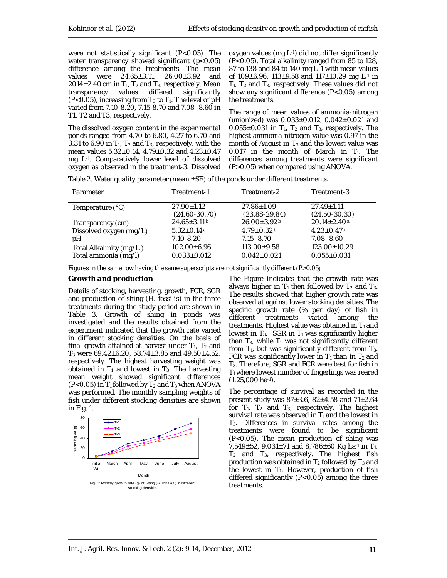were not statistically significant (P<0.05). The water transparency showed significant (p<0.05) difference among the treatments. The mean values were 24.65±3.11, 26.00±3.92 and 2014 $\pm$ 2.40 cm in T<sub>1</sub>, T<sub>2</sub> and T<sub>3</sub>, respectively. Mean transparency values differed significantly (P<0.05), increasing from  $T_3$  to  $T_1$ . The level of pH varied from 7.10-8.20, 7.15-8.70 and 7.08- 8.60 in T1, T2 and T3, respectively.

The dissolved oxygen content in the experimental ponds ranged from 4.70 to 6.80, 4.27 to 6.70 and 3.31 to 6.90 in  $T_1$ ,  $T_2$  and  $T_3$ , respectively, with the mean values 5.32±0.14, 4.79±0.32 and 4.23±0.47 mg L-1 . Comparatively lower level of dissolved oxygen as observed in the treatment-3. Dissolved

oxygen values (mg L-1) did not differ significantly (P<0.05). Total alkalinity ranged from 85 to 128, 87 to 138 and 84 to 140 mg L-1 with mean values of  $109 \pm 6.96$ ,  $113 \pm 9.58$  and  $117 \pm 10.29$  mg L<sup>-1</sup> in  $T_1$ ,  $T_2$  and  $T_3$ , respectively. These values did not show any significant difference (P<0.05) among the treatments.

The range of mean values of ammonia-nitrogen (unionized) was 0.033±0.012, 0.042±0.021 and  $0.055\pm0.031$  in  $T_1$ ,  $T_2$  and  $T_3$ , respectively. The highest ammonia-nitrogen value was 0.97 in the month of August in  $T_3$  and the lowest value was 0.017 in the month of March in  $T_1$ . The differences among treatments were significant (P>0.05) when compared using ANOVA.

|  |  |  | Table 2. Water quality parameter (mean $\pm$ SE) of the ponds under different treatments |
|--|--|--|------------------------------------------------------------------------------------------|
|--|--|--|------------------------------------------------------------------------------------------|

| Parameter                 | Treatment-1                           | Treatment-2                           | Treatment-3                         |
|---------------------------|---------------------------------------|---------------------------------------|-------------------------------------|
| Temperature $(^{\circ}C)$ | $27.90 \pm 1.12$<br>$(24.60 - 30.70)$ | $27.86 \pm 1.09$<br>$(23.88 - 29.84)$ | $27.49 \pm 1.11$<br>$(24.50-30.30)$ |
| Transparency (cm)         | $24.65 \pm 3.11$ b                    | $26.00 \pm 3.92$ <sup>b</sup>         | $20.14 \pm 2.40$ <sup>a</sup>       |
| Dissolved oxygen (mg/L)   | $5.32 \pm 0.14$ <sup>a</sup>          | $4.79 \pm 0.32$ <sup>b</sup>          | $4.23 \pm 0.47$ <sup>b</sup>        |
| рH                        | 7.10-8.20                             | $7.15 - 8.70$                         | 7.08-8.60                           |
| Total Alkalinity (mg/L)   | $102.00 + 6.96$                       | $113.00+9.58$                         | $123.00 \pm 10.29$                  |
| Total ammonia (mg/l)      | $0.033 \pm 0.012$                     | $0.042 \pm 0.021$                     | $0.055 \pm 0.031$                   |

Figures in the same row having the same superscripts are not significantly different (P>0.05)

#### *Growth and production*

Details of stocking, harvesting, growth, FCR, SGR and production of shing (*H. fossilis*) in the three treatments during the study period are shown in Table 3. Growth of shing in ponds was investigated and the results obtained from the experiment indicated that the growth rate varied in different stocking densities. On the basis of final growth attained at harvest under  $T_1$ ,  $T_2$  and T<sub>3</sub> were 69.42±6.20, 58.74±3.85 and 49.50±4.52, respectively. The highest harvesting weight was obtained in  $T_1$  and lowest in  $T_3$ . The harvesting mean weight showed significant differences (P<0.05) in  $T_1$  followed by  $T_2$  and  $T_3$  when ANOVA was performed. The monthly sampling weights of fish under different stocking densities are shown in Fig. 1.



The Figure indicates that the growth rate was always higher in  $T_1$  then followed by  $T_2$  and  $T_3$ . The results showed that higher growth rate was observed at against lower stocking densities. The specific growth rate (% per day) of fish in different treatments varied among the treatments. Highest value was obtained in  $T_1$  and lowest in  $T_3$ . SGR in  $T_1$  was significantly higher than  $T_3$ , while  $T_2$  was not significantly different from  $T_1$ , but was significantly different from  $T_3$ . FCR was significantly lower in  $T_1$  than in  $T_2$  and T3. Therefore, SGR and FCR were best for fish in  $T_1$  where lowest number of fingerlings was reared  $(1,25,000 \text{ ha-1}).$ 

The percentage of survival as recorded in the present study was  $87 \pm 3.6$ ,  $82 \pm 4.58$  and  $71 \pm 2.64$ for  $T_1$ ,  $T_2$  and  $T_3$ , respectively. The highest survival rate was observed in  $T_1$  and the lowest in T3. Differences in survival rates among the treatments were found to be significant (P<0.05). The mean production of shing was 7,549 $\pm$ 52, 9,031 $\pm$ 71 and 8,786 $\pm$ 60 Kg ha $\pm$ 1 in T<sub>1</sub>,  $T_2$  and  $T_3$ , respectively. The highest fish production was obtained in  $T_2$  followed by  $T_3$  and the lowest in  $T_1$ . However, production of fish differed significantly (P<0.05) among the three treatments.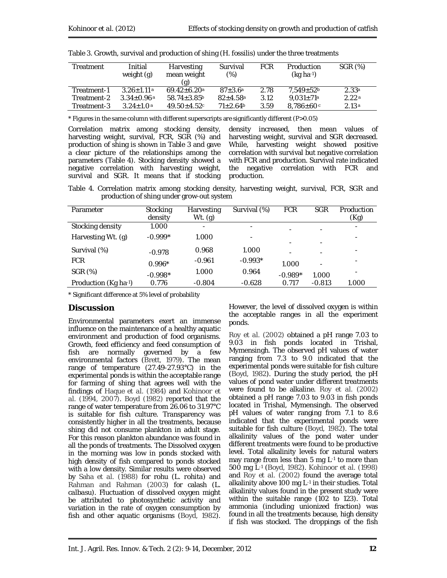| Treatment   | Initial<br>weight (g)        | Harvesting<br>mean weight<br>(g) | Survival<br>(%)          | <b>FCR</b> | Production<br>$(kq ha^{-1})$ | SGR (%)           |
|-------------|------------------------------|----------------------------------|--------------------------|------------|------------------------------|-------------------|
| Treatment-1 | $3.26 + 1.11a$               | $69.42 + 6.20a$                  | $87 + 3.6^{\circ}$       | 2.78       | $7.549 \pm 52$               | 2.33 <sup>a</sup> |
| Treatment-2 | $3.34 \pm 0.96$ <sup>a</sup> | $58.74 \pm 3.85$                 | $82 + 4.58$ <sup>a</sup> | 3.12       | $9.031 \pm 71a$              | 2.22a             |
| Treatment-3 | $3.24 \pm 1.0$ <sup>a</sup>  | $49.50 + 4.52c$                  | $71+2.64b$               | 3.59       | $8.786 \pm 60$               | 2.13a             |

Table 3. Growth, survival and production of shing (*H. fossilis*) under the three treatments

\* Figures in the same column with different superscripts are significantly different (P>0.05)

Correlation matrix among stocking density, harvesting weight, survival, FCR, SGR (%) and production of shing is shown in Table 3 and gave a clear picture of the relationships among the parameters (Table 4). Stocking density showed a negative correlation with harvesting weight, survival and SGR. It means that if stocking

density increased, then mean values of harvesting weight, survival and SGR decreased. While, harvesting weight showed positive correlation with survival but negative correlation with FCR and production. Survival rate indicated the negative correlation with FCR and production.

Table 4. Correlation matrix among stocking density, harvesting weight, survival, FCR, SGR and production of shing under grow-out system

| Parameter            | Stocking<br>density | Harvesting<br>$Wt.$ (g)  | Survival (%) | <b>FCR</b> | <b>SGR</b> | Production<br>(Kg) |
|----------------------|---------------------|--------------------------|--------------|------------|------------|--------------------|
| Stocking density     | 1.000               | $\overline{\phantom{a}}$ |              |            |            | -                  |
| Harvesting Wt. (g)   | $-0.999*$           | 1.000                    |              |            |            |                    |
| Survival (%)         | $-0.978$            | 0.968                    | 1.000        |            |            |                    |
| <b>FCR</b>           | $0.996*$            | $-0.961$                 | $-0.993*$    | 1.000      |            |                    |
| SGR (%)              | $-0.998*$           | 1.000                    | 0.964        | $-0.989*$  | 1.000      |                    |
| Production (Kg ha-1) | 0.776               | $-0.804$                 | $-0.628$     | 0.717      | $-0.813$   | 1.000              |

\* Significant difference at 5% level of probability

# **Discussion**

Environmental parameters exert an immense influence on the maintenance of a healthy aquatic environment and production of food organisms. Growth, feed efficiency and feed consumption of fish are normally governed by a few environmental factors (Brett, 1979). The mean range of temperature (27.49-27.93°C) in the experimental ponds is within the acceptable range for farming of shing that agrees well with the findings of Haque *et al*. (1984) and Kohinoor *et al*. (1994, 2007). Boyd (1982) reported that the range of water temperature from 26.06 to 31.97°C is suitable for fish culture. Transparency was consistently higher in all the treatments, because shing did not consume plankton in adult stage. For this reason plankton abundance was found in all the ponds of treatments. The Dissolved oxygen in the morning was low in ponds stocked with high density of fish compared to ponds stocked with a low density. Similar results were observed by Saha *et al*. (1988) for rohu (*L. rohita*) and Rahman and Rahman (2003) for calash (*L. calbasu*). Fluctuation of dissolved oxygen might be attributed to photosynthetic activity and variation in the rate of oxygen consumption by fish and other aquatic organisms (Boyd, 1982).

However, the level of dissolved oxygen is within the acceptable ranges in all the experiment ponds.

Roy *et al*. (2002) obtained a pH range 7.03 to 9.03 in fish ponds located in Trishal, Mymensingh. The observed pH values of water ranging from 7.3 to 9.0 indicated that the experimental ponds were suitable for fish culture (Boyd, 1982). During the study period, the pH values of pond water under different treatments were found to be alkaline. Roy *et al*. (2002) obtained a pH range 7.03 to 9.03 in fish ponds located in Trishal, Mymensingh. The observed pH values of water ranging from 7.1 to 8.6 indicated that the experimental ponds were suitable for fish culture (Boyd, 1982). The total alkalinity values of the pond water under different treatments were found to be productive level. Total alkalinity levels for natural waters may range from less than 5 mg L-1 to more than 500 mg L-1 (Boyd, 1982). Kohinoor *et al.* (1998) and Roy *et al.* (2002) found the average total alkalinity above 100 mg L-1 in their studies. Total alkalinity values found in the present study were within the suitable range (102 to 123). Total ammonia (including unionized fraction) was found in all the treatments because, high density if fish was stocked. The droppings of the fish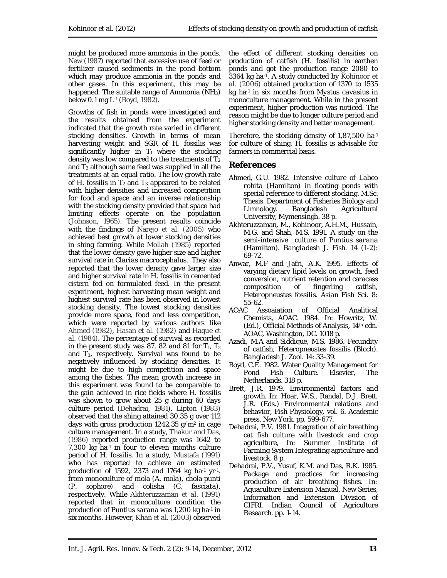might be produced more ammonia in the ponds. New (1987) reported that excessive use of feed or fertilizer caused sediments in the pond bottom which may produce ammonia in the ponds and other gases. In this experiment, this may be happened. The suitable range of Ammonia  $(NH_3)$ below 0.1 mg L-1 (Boyd, 1982).

Growths of fish in ponds were investigated and the results obtained from the experiment indicated that the growth rate varied in different stocking densities. Growth in terms of mean harvesting weight and SGR of *H. fossilis* was significantly higher in  $T_1$  where the stocking density was low compared to the treatments of  $T_2$ and  $T_3$  although same feed was supplied in all the treatments at an equal ratio. The low growth rate of *H. fossilis* in  $T_2$  and  $T_3$  appeared to be related with higher densities and increased competition for food and space and an inverse relationship with the stocking density provided that space had limiting effects operate on the population (Johnson, 1965). The present results coincide with the findings of Narejo *et al*. (2005) who achieved best growth at lower stocking densities in shing farming. While Mollah (1985) reported that the lower density gave higher size and higher survival rate in *Clarias macrocephalus*. They also reported that the lower density gave larger size and higher survival rate in *H. fossilis* in cemented cistern fed on formulated feed. In the present experiment, highest harvesting mean weight and highest survival rate has been observed in lowest stocking density. The lowest stocking densities provide more space, food and less competition, which were reported by various authors like Ahmed (1982), Hasan *et al.* (1982) and Haque *et al*. (1984). The percentage of survival as recorded in the present study was 87, 82 and 81 for  $T_1$ ,  $T_2$ and  $T_3$ , respectively. Survival was found to be negatively influenced by stocking densities. It might be due to high competition and space among the fishes. The mean growth increase in this experiment was found to be comparable to the gain achieved in rice fields where *H. fossilis* was shown to grow about 25 g during 60 days culture period (Dehadrai, 1981). Lipton (1983) observed that the shing attained 30.35 g over 112 days with gross production 1242.35 g/m<sup>2</sup> in cage culture management. In a study, Thakur and Das, (1986) reported production range was 1642 to 7,300 kg ha-1 in four to eleven months culture period of *H. fossilis*. In a study, Mustafa (1991) who has reported to achieve an estimated production of 1592, 2373 and 1764 kg ha-1 yr-1 . from monoculture of mola (*A. mola*), chola punti (*P. sophore*) and colisha (*C. fasciata*), respectively. While Akhteruzzaman *et al*. (1991) reported that in monoculture condition the production of *Puntius sarana* was 1,200 kg ha-1 in six months. However, Khan *et al*. (2003) observed

the effect of different stocking densities on production of catfish (*H. fossilis*) in earthen ponds and got the production range 2080 to 3364 kg ha-1 . A study conducted by Kohinoor *et al*. (2006) obtained production of 1370 to 1535 kg ha-1 in six months from *Mystus cavasius* in monoculture management. While in the present experiment, higher production was noticed. The reason might be due to longer culture period and higher stocking density and better management.

Therefore, the stocking density of 1,87,500 ha-1 for culture of shing, *H. fossilis* is advisable for farmers in commercial basis.

# **References**

- Ahmed, G.U. 1982. Intensive culture of *Labeo rohita* (Hamilton) in floating ponds with special reference to different stocking. M.Sc. Thesis. Department of Fisheries Biology and Limnology. Bangladesh Agricultural University, Mymensingh. 38 p.
- Akhteruzzaman, M., Kohinoor, A.H.M., Hussain, M.G. and Shah, M.S. 1991. A study on the semi-intensive culture of *Puntius sarana* (Hamilton). *Bangladesh J. Fish*. 14 (1-2): 69-72.
- Anwar, M.F and Jafri, A.K. 1995. Effects of varying dietary lipid levels on growth, feed conversion, nutrient retention and caracass composition of fingerling catfish, *Heteropneustes fossilis*. *Asian Fish Sci.* 8: 55-62.
- AOAC Assoaiation of Official Analitical Chemists, AOAC. 1984. *In:* Howritz, W. (Ed.), Official Methods of Analysis, 14th edn. AOAC, Washington, DC. 1018 p.
- Azadi, M.A and Siddique, M.S. 1986. Fecundity of catfish, *Heteropneustes fossilis* (Bloch). *Bangladesh J. Zool.* 14: 33-39.
- Boyd, C.E. 1982. Water Quality Management for Pond Fish Culture. Elsevier, The Netherlands. 318 p.
- Brett, J.R. 1979. Environmental factors and growth. *In:* Hoar, W.S., Randal, D.J. Brett, J.R. (Eds.) Environmental relations and behavior, Fish Physiology, vol. 6. Academic press, New York. pp. 599-677.
- Dehadrai, P.V. 1981. Integration of air breathing cat fish culture with livestock and crop agriculture, *In:* Summer Institute of Farming System Integrating agriculture and livestock. 8 p.
- Dehadrai, P.V., Yusuf, K.M. and Das, R.K. 1985. Package and practices for increasing production of air breathing fishes. *In:*  Aquaculture Extension Manual, New Series, Information and Extension Division of CIFRI. Indian Council of Agriculture Research. pp. 1-14.